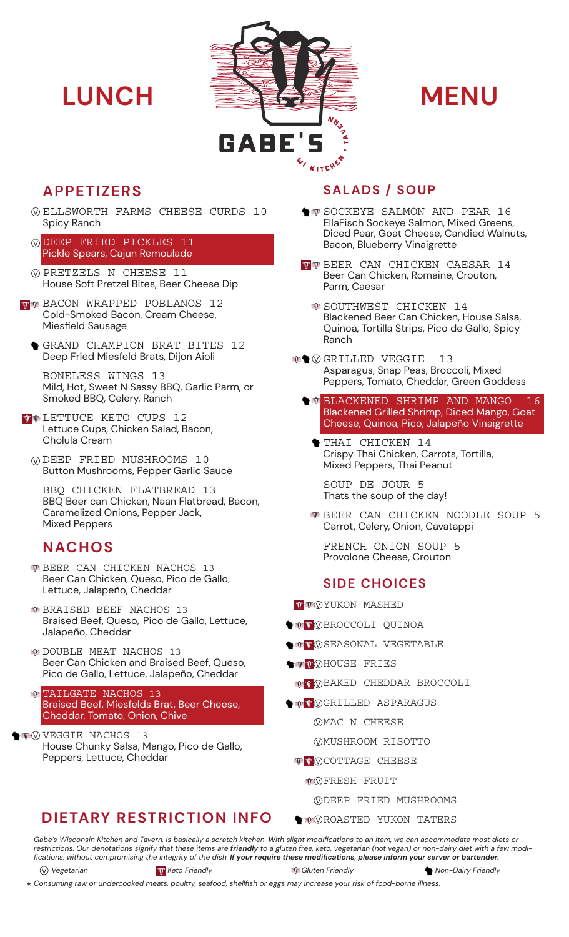

- ELLSWORTH FARMS CHEESE CURDS 10 Spicy Ranch
- DEEP FRIED PICKLES 11 Pickle Spears, Cajun Remoulade
- PRETZELS N CHEESE 11 House Soft Pretzel Bites, Beer Cheese Dip
- **THE BACON WRAPPED POBLANOS 12** Cold-Smoked Bacon, Cream Cheese, Miesfield Sausage
	- GRAND CHAMPION BRAT BITES 12 Deep Fried Miesfeld Brats, Dijon Aioli

BONELESS WINGS 13 Mild, Hot, Sweet N Sassy BBQ, Garlic Parm, or Smoked BBQ, Celery, Ranch

- **TO LETTUCE KETO CUPS 12** Lettuce Cups, Chicken Salad, Bacon, Cholula Cream
	- DEEP FRIED MUSHROOMS 10 Button Mushrooms, Pepper Garlic Sauce

BBQ CHICKEN FLATBREAD 13 BBQ Beer can Chicken, Naan Flatbread, Bacon, Caramelized Onions, Pepper Jack, Mixed Peppers

# **NACHOS**

- **BEER CAN CHICKEN NACHOS 13** Beer Can Chicken, Queso, Pico de Gallo, Lettuce, Jalapeño, Cheddar
- **BRAISED BEEF NACHOS 13** Braised Beef, Queso, Pico de Gallo, Lettuce, Jalapeño, Cheddar
- DOUBLE MEAT NACHOS 13 Beer Can Chicken and Braised Beef, Queso, Pico de Gallo, Lettuce, Jalapeño, Cheddar

TAILGATE NACHOS 13 Braised Beef, Miesfelds Brat, Beer Cheese, Cheddar, Tomato, Onion, Chive

VEGGIE NACHOS 13 House Chunky Salsa, Mango, Pico de Gallo, Peppers, Lettuce, Cheddar

# **DIETARY RESTRICTION INFO**

# **APPETIZERS SALADS / SOUP**

- SOCKEYE SALMON AND PEAR 16 EllaFisch Sockeye Salmon, Mixed Greens, Diced Pear, Goat Cheese, Candied Walnuts, Bacon, Blueberry Vinaigrette
- **T** BEER CAN CHICKEN CAESAR 14 Beer Can Chicken, Romaine, Crouton, Parm, Caesar
	- **SOUTHWEST CHICKEN 14** Blackened Beer Can Chicken, House Salsa, Quinoa, Tortilla Strips, Pico de Gallo, Spicy Ranch
- **OGRILLED VEGGIE** 13 Asparagus, Snap Peas, Broccoli, Mixed Peppers, Tomato, Cheddar, Green Goddess
	- BLACKENED SHRIMP AND MANGO 16 Blackened Grilled Shrimp, Diced Mango, Goat Cheese, Quinoa, Pico, Jalapeño Vinaigrette
		- THAI CHICKEN 14 Crispy Thai Chicken, Carrots, Tortilla, Mixed Peppers, Thai Peanut

SOUP DE JOUR 5 Thats the soup of the day!

BEER CAN CHICKEN NOODLE SOUP 5 Carrot, Celery, Onion, Cavatappi

FRENCH ONION SOUP 5 Provolone Cheese, Crouton

# **SIDE CHOICES**

**Y** OYUKON MASHED

- **BROCCOLI QUINOA**
- **SEASONAL VEGETABLE**
- **WOHOUSE FRIES** 
	- **B** WOBAKED CHEDDAR BROCCOLI
- **GRILLED ASPARAGUS** 
	- MAC N CHEESE
	- MUSHROOM RISOTTO
	- **T** VOCOTTAGE CHEESE
		- FRESH FRUIT
			- DEEP FRIED MUSHROOMS
	- **ROASTED YUKON TATERS**

*Gabe's Wisconsin Kitchen and Tavern, is basically a scratch kitchen. With slight modifications to an item, we can accommodate most diets or restrictions. Our denotations signify that these items are friendly to a gluten free, keto, vegetarian (not vegan) or non-dairy diet with a few modifications, without compromising the integrity of the dish. If your require these modifications, please inform your server or bartender.* 

*Vegetarian Keto Friendly Gluten Friendly Non-Dairy Friendly*

*Consuming raw or undercooked meats, poultry, seafood, shellfish or eggs may increase your risk of food-borne illness.*